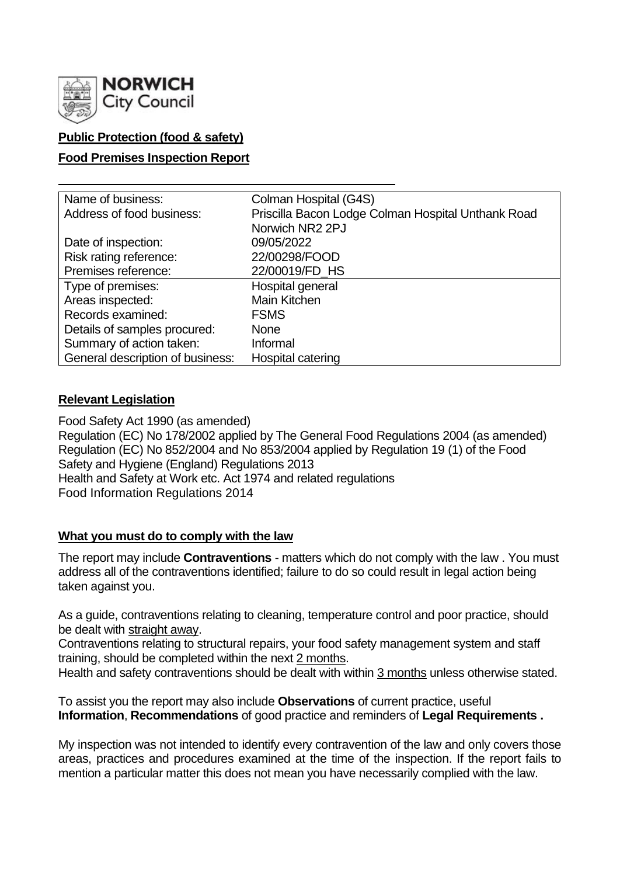

## **Public Protection (food & safety)**

### **Food Premises Inspection Report**

| Name of business:                | Colman Hospital (G4S)                              |  |  |  |  |
|----------------------------------|----------------------------------------------------|--|--|--|--|
| Address of food business:        | Priscilla Bacon Lodge Colman Hospital Unthank Road |  |  |  |  |
|                                  | Norwich NR2 2PJ                                    |  |  |  |  |
| Date of inspection:              | 09/05/2022                                         |  |  |  |  |
| Risk rating reference:           | 22/00298/FOOD                                      |  |  |  |  |
| Premises reference:              | 22/00019/FD_HS                                     |  |  |  |  |
| Type of premises:                | Hospital general                                   |  |  |  |  |
| Areas inspected:                 | Main Kitchen                                       |  |  |  |  |
| Records examined:                | <b>FSMS</b>                                        |  |  |  |  |
| Details of samples procured:     | <b>None</b>                                        |  |  |  |  |
| Summary of action taken:         | Informal                                           |  |  |  |  |
| General description of business: | Hospital catering                                  |  |  |  |  |

### **Relevant Legislation**

Food Safety Act 1990 (as amended) Regulation (EC) No 178/2002 applied by The General Food Regulations 2004 (as amended) Regulation (EC) No 852/2004 and No 853/2004 applied by Regulation 19 (1) of the Food Safety and Hygiene (England) Regulations 2013 Health and Safety at Work etc. Act 1974 and related regulations Food Information Regulations 2014

### **What you must do to comply with the law**

The report may include **Contraventions** - matters which do not comply with the law . You must address all of the contraventions identified; failure to do so could result in legal action being taken against you.

As a guide, contraventions relating to cleaning, temperature control and poor practice, should be dealt with straight away.

Contraventions relating to structural repairs, your food safety management system and staff training, should be completed within the next 2 months.

Health and safety contraventions should be dealt with within 3 months unless otherwise stated.

To assist you the report may also include **Observations** of current practice, useful **Information**, **Recommendations** of good practice and reminders of **Legal Requirements .**

My inspection was not intended to identify every contravention of the law and only covers those areas, practices and procedures examined at the time of the inspection. If the report fails to mention a particular matter this does not mean you have necessarily complied with the law.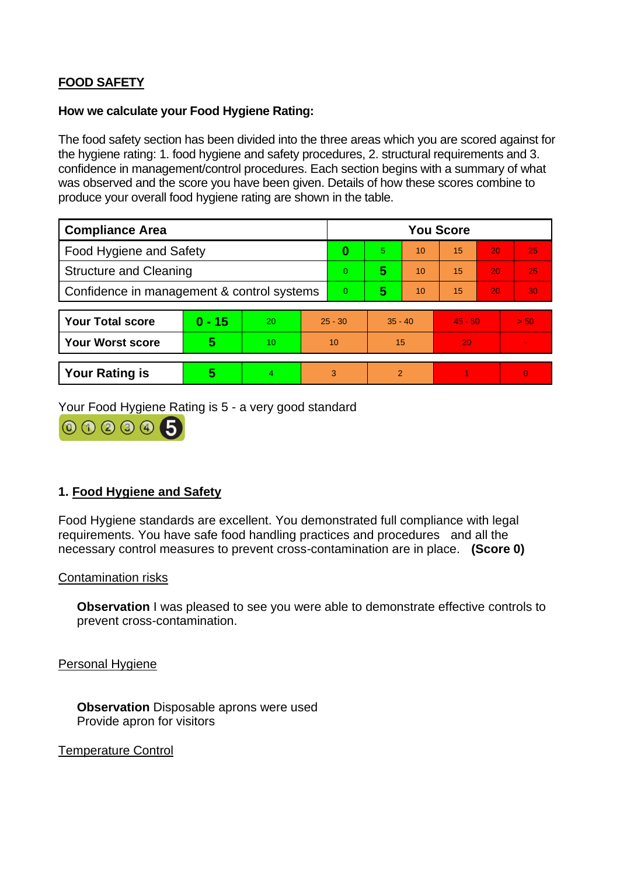# **FOOD SAFETY**

#### **How we calculate your Food Hygiene Rating:**

The food safety section has been divided into the three areas which you are scored against for the hygiene rating: 1. food hygiene and safety procedures, 2. structural requirements and 3. confidence in management/control procedures. Each section begins with a summary of what was observed and the score you have been given. Details of how these scores combine to produce your overall food hygiene rating are shown in the table.

| <b>Compliance Area</b>                     |          |    |           | <b>You Score</b> |                |    |           |    |                |
|--------------------------------------------|----------|----|-----------|------------------|----------------|----|-----------|----|----------------|
| <b>Food Hygiene and Safety</b>             |          |    |           | 0                | $\overline{5}$ | 10 | 15        | 20 | 25             |
| <b>Structure and Cleaning</b>              |          |    |           | $\Omega$         | 5              | 10 | 15        | 20 | 25             |
| Confidence in management & control systems |          |    |           | $\overline{0}$   | 5              | 10 | 15        | 20 | 30             |
|                                            |          |    |           |                  |                |    |           |    |                |
| <b>Your Total score</b>                    | $0 - 15$ | 20 | $25 - 30$ |                  | $35 - 40$      |    | $45 - 50$ |    | > 50           |
| <b>Your Worst score</b>                    | 5        | 10 | 10        |                  | 15             |    | 20        |    | $\sim$         |
|                                            |          |    |           |                  |                |    |           |    |                |
| <b>Your Rating is</b>                      | 5        | 4  |           | 3                | 2              |    |           |    | $\overline{0}$ |

Your Food Hygiene Rating is 5 - a very good standard



## **1. Food Hygiene and Safety**

Food Hygiene standards are excellent. You demonstrated full compliance with legal requirements. You have safe food handling practices and procedures and all the necessary control measures to prevent cross-contamination are in place. **(Score 0)**

### Contamination risks

**Observation** I was pleased to see you were able to demonstrate effective controls to prevent cross-contamination.

Personal Hygiene

**Observation** Disposable aprons were used Provide apron for visitors

Temperature Control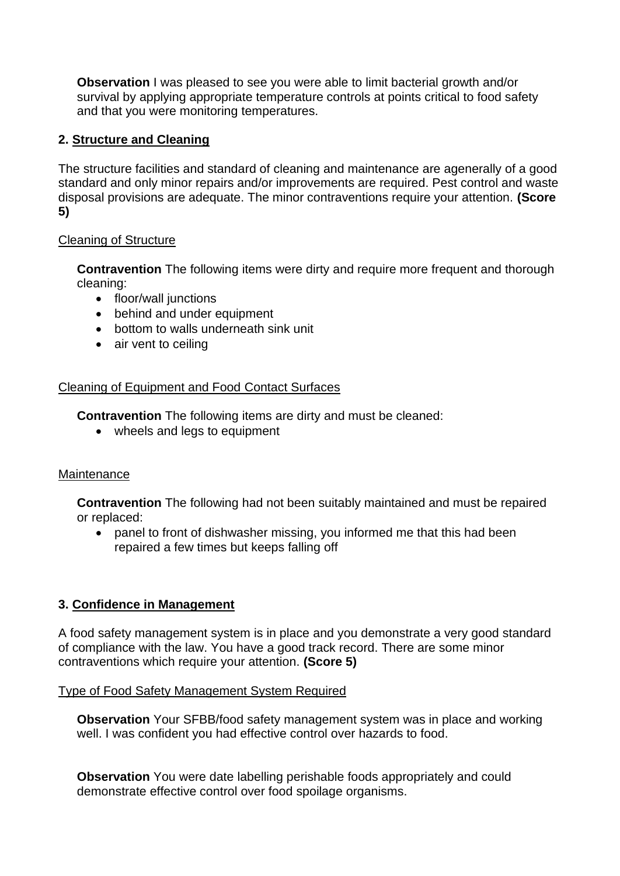**Observation** I was pleased to see you were able to limit bacterial growth and/or survival by applying appropriate temperature controls at points critical to food safety and that you were monitoring temperatures.

## **2. Structure and Cleaning**

The structure facilities and standard of cleaning and maintenance are agenerally of a good standard and only minor repairs and/or improvements are required. Pest control and waste disposal provisions are adequate. The minor contraventions require your attention. **(Score 5)**

### Cleaning of Structure

**Contravention** The following items were dirty and require more frequent and thorough cleaning:

- floor/wall junctions
- behind and under equipment
- bottom to walls underneath sink unit
- air vent to ceiling

### Cleaning of Equipment and Food Contact Surfaces

**Contravention** The following items are dirty and must be cleaned:

• wheels and legs to equipment

### **Maintenance**

**Contravention** The following had not been suitably maintained and must be repaired or replaced:

• panel to front of dishwasher missing, you informed me that this had been repaired a few times but keeps falling off

## **3. Confidence in Management**

A food safety management system is in place and you demonstrate a very good standard of compliance with the law. You have a good track record. There are some minor contraventions which require your attention. **(Score 5)**

### Type of Food Safety Management System Required

**Observation** Your SFBB/food safety management system was in place and working well. I was confident you had effective control over hazards to food.

**Observation** You were date labelling perishable foods appropriately and could demonstrate effective control over food spoilage organisms.